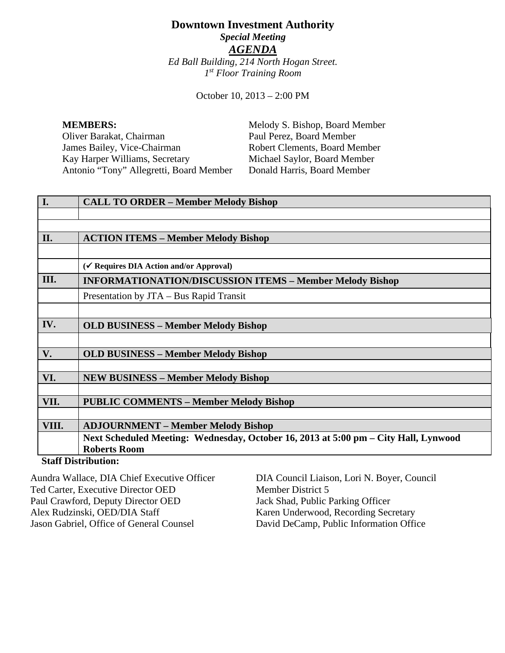# **Downtown Investment Authority** *Special Meeting AGENDA Ed Ball Building, 214 North Hogan Street. 1st Floor Training Room*

October 10, 2013 – 2:00 PM

**MEMBERS:** Melody S. Bishop, Board Member Oliver Barakat, Chairman Paul Perez, Board Member<br>
James Bailey, Vice-Chairman Robert Clements, Board Me James Bailey, Vice-Chairman Robert Clements, Board Member<br>
Kay Harper Williams, Secretary Michael Saylor, Board Member Antonio "Tony" Allegretti, Board Member Donald Harris, Board Member

Michael Saylor, Board Member

| I.                                          | <b>CALL TO ORDER - Member Melody Bishop</b>                                         |
|---------------------------------------------|-------------------------------------------------------------------------------------|
|                                             |                                                                                     |
|                                             |                                                                                     |
| II.                                         | <b>ACTION ITEMS – Member Melody Bishop</b>                                          |
|                                             |                                                                                     |
|                                             | (√ Requires DIA Action and/or Approval)                                             |
| III.                                        | <b>INFORMATIONATION/DISCUSSION ITEMS - Member Melody Bishop</b>                     |
|                                             | Presentation by JTA – Bus Rapid Transit                                             |
|                                             |                                                                                     |
| IV.                                         | <b>OLD BUSINESS – Member Melody Bishop</b>                                          |
|                                             |                                                                                     |
| V.                                          | <b>OLD BUSINESS – Member Melody Bishop</b>                                          |
|                                             |                                                                                     |
| VI.                                         | <b>NEW BUSINESS – Member Melody Bishop</b>                                          |
|                                             |                                                                                     |
| VII.                                        | <b>PUBLIC COMMENTS - Member Melody Bishop</b>                                       |
|                                             |                                                                                     |
| VIII.                                       | <b>ADJOURNMENT – Member Melody Bishop</b>                                           |
|                                             | Next Scheduled Meeting: Wednesday, October 16, 2013 at 5:00 pm – City Hall, Lynwood |
|                                             | <b>Roberts Room</b>                                                                 |
| $C_{4}$ of $D_{4}^{*}$ $\ldots$ $D_{n}^{*}$ |                                                                                     |

## **Staff Distribution:**

Aundra Wallace, DIA Chief Executive Officer Ted Carter, Executive Director OED Paul Crawford, Deputy Director OED Alex Rudzinski, OED/DIA Staff Jason Gabriel, Office of General Counsel

DIA Council Liaison, Lori N. Boyer, Council Member District 5 Jack Shad, Public Parking Officer Karen Underwood, Recording Secretary David DeCamp, Public Information Office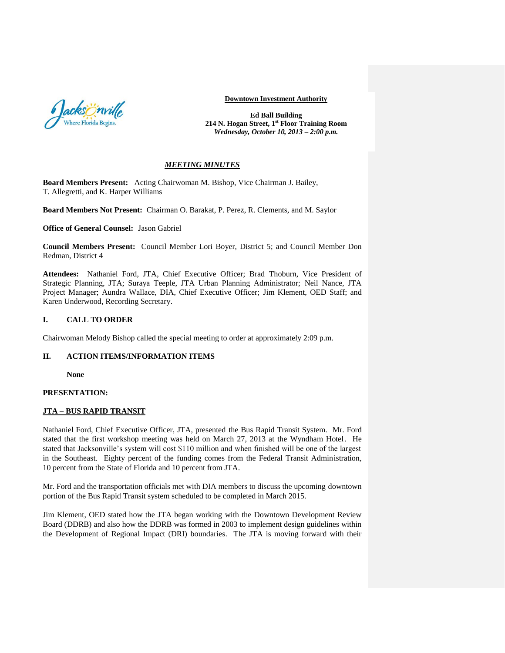

#### **Downtown Investment Authority**

**Ed Ball Building 214 N. Hogan Street, 1st Floor Training Room**  *Wednesday, October 10, 2013 – 2:00 p.m.*

#### *MEETING MINUTES*

**Board Members Present:** Acting Chairwoman M. Bishop, Vice Chairman J. Bailey, T. Allegretti, and K. Harper Williams

**Board Members Not Present:** Chairman O. Barakat, P. Perez, R. Clements, and M. Saylor

**Office of General Counsel:** Jason Gabriel

**Council Members Present:** Council Member Lori Boyer, District 5; and Council Member Don Redman, District 4

**Attendees:** Nathaniel Ford, JTA, Chief Executive Officer; Brad Thoburn, Vice President of Strategic Planning, JTA; Suraya Teeple, JTA Urban Planning Administrator; Neil Nance, JTA Project Manager; Aundra Wallace, DIA, Chief Executive Officer; Jim Klement, OED Staff; and Karen Underwood, Recording Secretary.

## **I. CALL TO ORDER**

Chairwoman Melody Bishop called the special meeting to order at approximately 2:09 p.m.

## **II. ACTION ITEMS/INFORMATION ITEMS**

**None** 

## **PRESENTATION:**

#### **JTA – BUS RAPID TRANSIT**

Nathaniel Ford, Chief Executive Officer, JTA, presented the Bus Rapid Transit System. Mr. Ford stated that the first workshop meeting was held on March 27, 2013 at the Wyndham Hotel. He stated that Jacksonville's system will cost \$110 million and when finished will be one of the largest in the Southeast. Eighty percent of the funding comes from the Federal Transit Administration, 10 percent from the State of Florida and 10 percent from JTA.

Mr. Ford and the transportation officials met with DIA members to discuss the upcoming downtown portion of the Bus Rapid Transit system scheduled to be completed in March 2015.

Jim Klement, OED stated how the JTA began working with the Downtown Development Review Board (DDRB) and also how the DDRB was formed in 2003 to implement design guidelines within the Development of Regional Impact (DRI) boundaries. The JTA is moving forward with their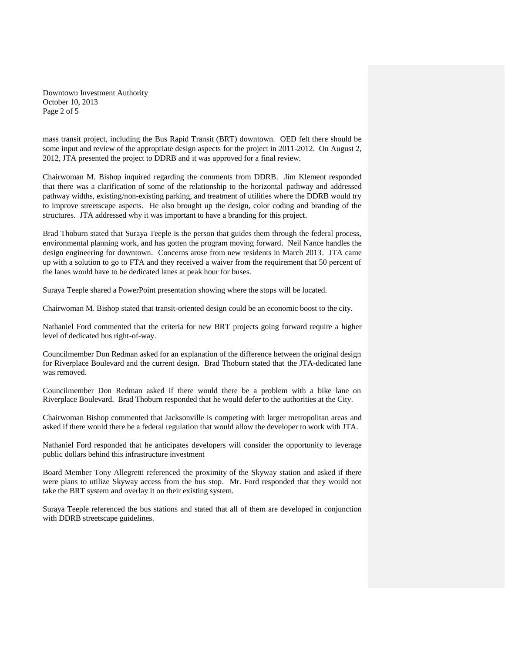Downtown Investment Authority October 10, 2013 Page 2 of 5

mass transit project, including the Bus Rapid Transit (BRT) downtown. OED felt there should be some input and review of the appropriate design aspects for the project in 2011-2012. On August 2, 2012, JTA presented the project to DDRB and it was approved for a final review.

Chairwoman M. Bishop inquired regarding the comments from DDRB. Jim Klement responded that there was a clarification of some of the relationship to the horizontal pathway and addressed pathway widths, existing/non-existing parking, and treatment of utilities where the DDRB would try to improve streetscape aspects. He also brought up the design, color coding and branding of the structures. JTA addressed why it was important to have a branding for this project.

Brad Thoburn stated that Suraya Teeple is the person that guides them through the federal process, environmental planning work, and has gotten the program moving forward. Neil Nance handles the design engineering for downtown. Concerns arose from new residents in March 2013. JTA came up with a solution to go to FTA and they received a waiver from the requirement that 50 percent of the lanes would have to be dedicated lanes at peak hour for buses.

Suraya Teeple shared a PowerPoint presentation showing where the stops will be located.

Chairwoman M. Bishop stated that transit-oriented design could be an economic boost to the city.

Nathaniel Ford commented that the criteria for new BRT projects going forward require a higher level of dedicated bus right-of-way.

Councilmember Don Redman asked for an explanation of the difference between the original design for Riverplace Boulevard and the current design. Brad Thoburn stated that the JTA-dedicated lane was removed.

Councilmember Don Redman asked if there would there be a problem with a bike lane on Riverplace Boulevard. Brad Thoburn responded that he would defer to the authorities at the City.

Chairwoman Bishop commented that Jacksonville is competing with larger metropolitan areas and asked if there would there be a federal regulation that would allow the developer to work with JTA.

Nathaniel Ford responded that he anticipates developers will consider the opportunity to leverage public dollars behind this infrastructure investment

Board Member Tony Allegretti referenced the proximity of the Skyway station and asked if there were plans to utilize Skyway access from the bus stop. Mr. Ford responded that they would not take the BRT system and overlay it on their existing system.

Suraya Teeple referenced the bus stations and stated that all of them are developed in conjunction with DDRB streetscape guidelines.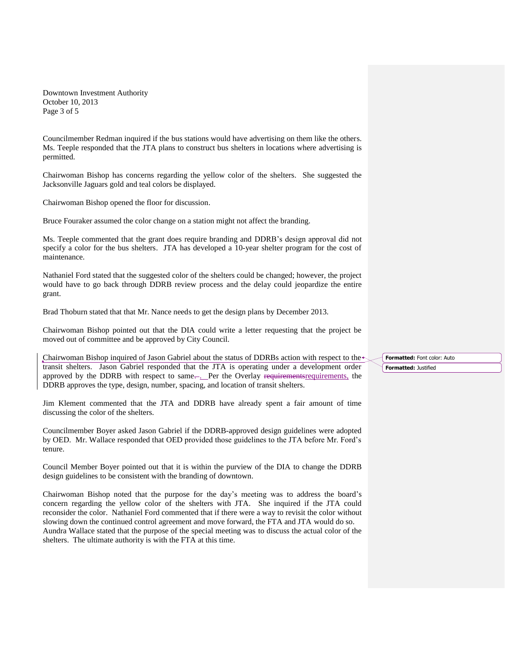Downtown Investment Authority October 10, 2013 Page 3 of 5

Councilmember Redman inquired if the bus stations would have advertising on them like the others. Ms. Teeple responded that the JTA plans to construct bus shelters in locations where advertising is permitted.

Chairwoman Bishop has concerns regarding the yellow color of the shelters. She suggested the Jacksonville Jaguars gold and teal colors be displayed.

Chairwoman Bishop opened the floor for discussion.

Bruce Fouraker assumed the color change on a station might not affect the branding.

Ms. Teeple commented that the grant does require branding and DDRB's design approval did not specify a color for the bus shelters. JTA has developed a 10-year shelter program for the cost of maintenance.

Nathaniel Ford stated that the suggested color of the shelters could be changed; however, the project would have to go back through DDRB review process and the delay could jeopardize the entire grant.

Brad Thoburn stated that that Mr. Nance needs to get the design plans by December 2013.

Chairwoman Bishop pointed out that the DIA could write a letter requesting that the project be moved out of committee and be approved by City Council.

Chairwoman Bishop inquired of Jason Gabriel about the status of DDRBs action with respect to the transit shelters. Jason Gabriel responded that the JTA is operating under a development order approved by the DDRB with respect to same... Per the Overlay requirements requirements, the DDRB approves the type, design, number, spacing, and location of transit shelters.

Jim Klement commented that the JTA and DDRB have already spent a fair amount of time discussing the color of the shelters.

Councilmember Boyer asked Jason Gabriel if the DDRB-approved design guidelines were adopted by OED. Mr. Wallace responded that OED provided those guidelines to the JTA before Mr. Ford's tenure.

Council Member Boyer pointed out that it is within the purview of the DIA to change the DDRB design guidelines to be consistent with the branding of downtown.

Chairwoman Bishop noted that the purpose for the day's meeting was to address the board's concern regarding the yellow color of the shelters with JTA. She inquired if the JTA could reconsider the color. Nathaniel Ford commented that if there were a way to revisit the color without slowing down the continued control agreement and move forward, the FTA and JTA would do so. Aundra Wallace stated that the purpose of the special meeting was to discuss the actual color of the shelters. The ultimate authority is with the FTA at this time.

**Formatted:** Font color: Auto **Formatted:** Justified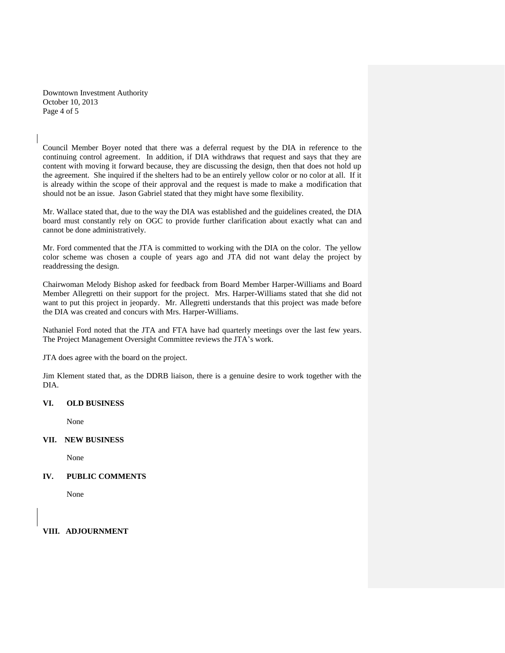Downtown Investment Authority October 10, 2013 Page 4 of 5

Council Member Boyer noted that there was a deferral request by the DIA in reference to the continuing control agreement. In addition, if DIA withdraws that request and says that they are content with moving it forward because, they are discussing the design, then that does not hold up the agreement. She inquired if the shelters had to be an entirely yellow color or no color at all. If it is already within the scope of their approval and the request is made to make a modification that should not be an issue. Jason Gabriel stated that they might have some flexibility.

Mr. Wallace stated that, due to the way the DIA was established and the guidelines created, the DIA board must constantly rely on OGC to provide further clarification about exactly what can and cannot be done administratively.

Mr. Ford commented that the JTA is committed to working with the DIA on the color. The yellow color scheme was chosen a couple of years ago and JTA did not want delay the project by readdressing the design.

Chairwoman Melody Bishop asked for feedback from Board Member Harper-Williams and Board Member Allegretti on their support for the project. Mrs. Harper-Williams stated that she did not want to put this project in jeopardy. Mr. Allegretti understands that this project was made before the DIA was created and concurs with Mrs. Harper-Williams.

Nathaniel Ford noted that the JTA and FTA have had quarterly meetings over the last few years. The Project Management Oversight Committee reviews the JTA's work.

JTA does agree with the board on the project.

Jim Klement stated that, as the DDRB liaison, there is a genuine desire to work together with the DIA.

#### **VI. OLD BUSINESS**

None

**VII. NEW BUSINESS**

None

## **IV. PUBLIC COMMENTS**

None

**VIII. ADJOURNMENT**